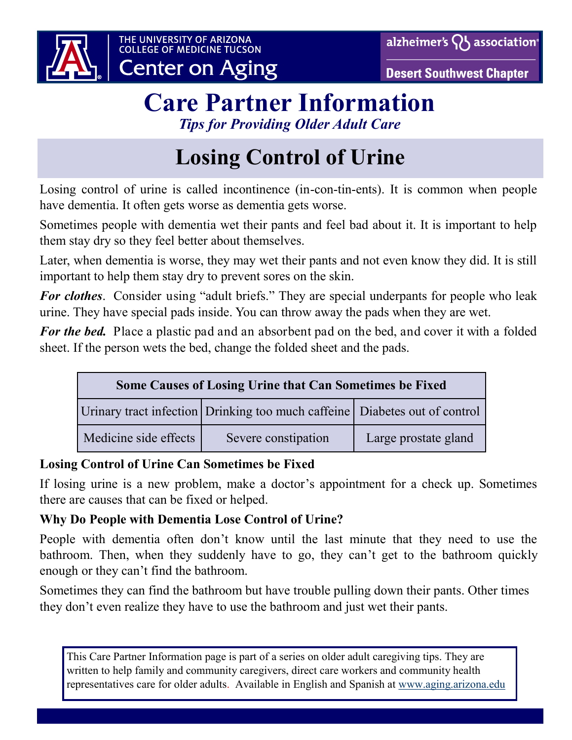





## **Care Partner Information** *Tips for Providing Older Adult Care*

# **Losing Control of Urine**

Losing control of urine is called incontinence (in-con-tin-ents). It is common when people have dementia. It often gets worse as dementia gets worse.

Sometimes people with dementia wet their pants and feel bad about it. It is important to help them stay dry so they feel better about themselves.

Later, when dementia is worse, they may wet their pants and not even know they did. It is still important to help them stay dry to prevent sores on the skin.

*For clothes*. Consider using "adult briefs." They are special underpants for people who leak urine. They have special pads inside. You can throw away the pads when they are wet.

*For the bed.* Place a plastic pad and an absorbent pad on the bed, and cover it with a folded sheet. If the person wets the bed, change the folded sheet and the pads.

| <b>Some Causes of Losing Urine that Can Sometimes be Fixed</b> |                                                                              |                      |
|----------------------------------------------------------------|------------------------------------------------------------------------------|----------------------|
|                                                                | Urinary tract infection Drinking too much caffeine   Diabetes out of control |                      |
| Medicine side effects                                          | Severe constipation                                                          | Large prostate gland |

### **Losing Control of Urine Can Sometimes be Fixed**

If losing urine is a new problem, make a doctor's appointment for a check up. Sometimes there are causes that can be fixed or helped.

#### **Why Do People with Dementia Lose Control of Urine?**

People with dementia often don't know until the last minute that they need to use the bathroom. Then, when they suddenly have to go, they can't get to the bathroom quickly enough or they can't find the bathroom.

Sometimes they can find the bathroom but have trouble pulling down their pants. Other times they don't even realize they have to use the bathroom and just wet their pants.

This Care Partner Information page is part of a series on older adult caregiving tips. They are written to help family and community caregivers, direct care workers and community health representatives care for older adults. Available in English and Spanish at [www.aging.arizona.edu](http://www.aging.arizona.edu)